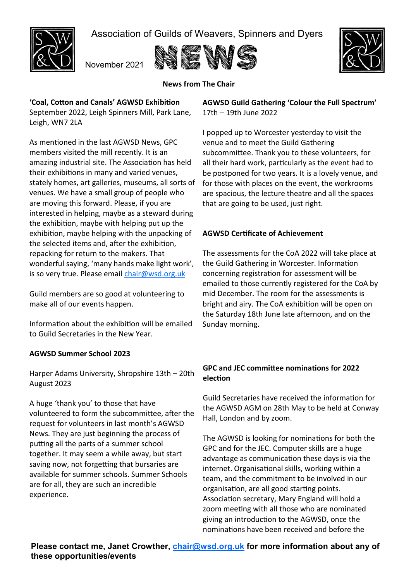Association of Guilds of Weavers, Spinners and Dyers



November 2021





# **News from The Chair**

**'Coal, Cotton and Canals' AGWSD Exhibition** 

September 2022, Leigh Spinners Mill, Park Lane, Leigh, WN7 2LA

As mentioned in the last AGWSD News, GPC members visited the mill recently. It is an amazing industrial site. The Association has held their exhibitions in many and varied venues, stately homes, art galleries, museums, all sorts of venues. We have a small group of people who are moving this forward. Please, if you are interested in helping, maybe as a steward during the exhibition, maybe with helping put up the exhibition, maybe helping with the unpacking of the selected items and, after the exhibition, repacking for return to the makers. That wonderful saying, 'many hands make light work', is so very true. Please email [chair@wsd.org.uk](mailto:chair@wsd.org.uk)

Guild members are so good at volunteering to make all of our events happen.

Information about the exhibition will be emailed to Guild Secretaries in the New Year.

## **AGWSD Summer School 2023**

Harper Adams University, Shropshire 13th – 20th August 2023

A huge 'thank you' to those that have volunteered to form the subcommittee, after the request for volunteers in last month's AGWSD News. They are just beginning the process of putting all the parts of a summer school together. It may seem a while away, but start saving now, not forgetting that bursaries are available for summer schools. Summer Schools are for all, they are such an incredible experience.

**AGWSD Guild Gathering 'Colour the Full Spectrum'**  17th – 19th June 2022

I popped up to Worcester yesterday to visit the venue and to meet the Guild Gathering subcommittee. Thank you to these volunteers, for all their hard work, particularly as the event had to be postponed for two years. It is a lovely venue, and for those with places on the event, the workrooms are spacious, the lecture theatre and all the spaces that are going to be used, just right.

## **AGWSD Certificate of Achievement**

The assessments for the CoA 2022 will take place at the Guild Gathering in Worcester. Information concerning registration for assessment will be emailed to those currently registered for the CoA by mid December. The room for the assessments is bright and airy. The CoA exhibition will be open on the Saturday 18th June late afternoon, and on the Sunday morning.

## **GPC and JEC committee nominations for 2022 election**

Guild Secretaries have received the information for the AGWSD AGM on 28th May to be held at Conway Hall, London and by zoom.

The AGWSD is looking for nominations for both the GPC and for the JEC. Computer skills are a huge advantage as communication these days is via the internet. Organisational skills, working within a team, and the commitment to be involved in our organisation, are all good starting points. Association secretary, Mary England will hold a zoom meeting with all those who are nominated giving an introduction to the AGWSD, once the nominations have been received and before the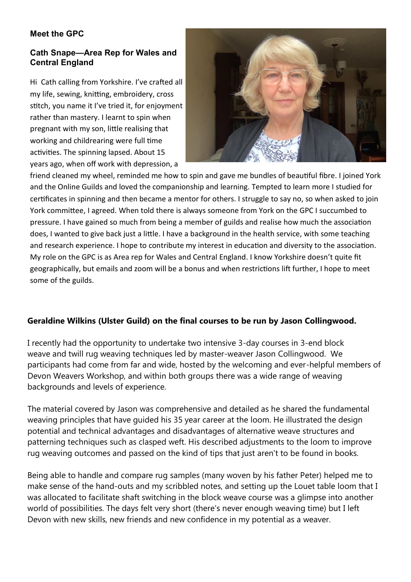# **Meet the GPC**

## **Cath Snape—Area Rep for Wales and Central England**

Hi Cath calling from Yorkshire. I've crafted all my life, sewing, knitting, embroidery, cross stitch, you name it I've tried it, for enjoyment rather than mastery. I learnt to spin when pregnant with my son, little realising that working and childrearing were full time activities. The spinning lapsed. About 15 years ago, when off work with depression, a



friend cleaned my wheel, reminded me how to spin and gave me bundles of beautiful fibre. I joined York and the Online Guilds and loved the companionship and learning. Tempted to learn more I studied for certificates in spinning and then became a mentor for others. I struggle to say no, so when asked to join York committee, I agreed. When told there is always someone from York on the GPC I succumbed to pressure. I have gained so much from being a member of guilds and realise how much the association does, I wanted to give back just a little. I have a background in the health service, with some teaching and research experience. I hope to contribute my interest in education and diversity to the association. My role on the GPC is as Area rep for Wales and Central England. I know Yorkshire doesn't quite fit geographically, but emails and zoom will be a bonus and when restrictions lift further, I hope to meet some of the guilds.

# **Geraldine Wilkins (Ulster Guild) on the final courses to be run by Jason Collingwood.**

I recently had the opportunity to undertake two intensive 3-day courses in 3-end block weave and twill rug weaving techniques led by master-weaver Jason Collingwood. We participants had come from far and wide, hosted by the welcoming and ever-helpful members of Devon Weavers Workshop, and within both groups there was a wide range of weaving backgrounds and levels of experience.

The material covered by Jason was comprehensive and detailed as he shared the fundamental weaving principles that have guided his 35 year career at the loom. He illustrated the design potential and technical advantages and disadvantages of alternative weave structures and patterning techniques such as clasped weft. His described adjustments to the loom to improve rug weaving outcomes and passed on the kind of tips that just aren't to be found in books.

Being able to handle and compare rug samples (many woven by his father Peter) helped me to make sense of the hand-outs and my scribbled notes, and setting up the Louet table loom that I was allocated to facilitate shaft switching in the block weave course was a glimpse into another world of possibilities. The days felt very short (there's never enough weaving time) but I left Devon with new skills, new friends and new confidence in my potential as a weaver.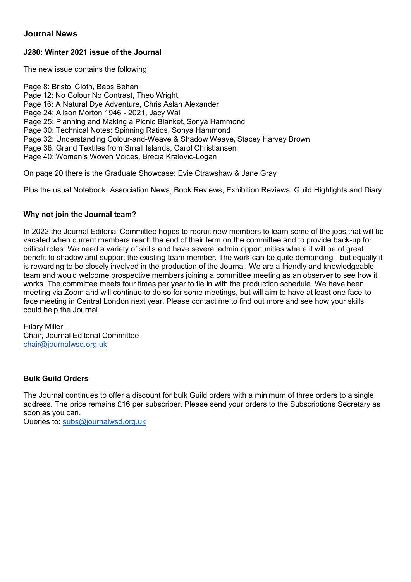#### **Journal News**

#### **J280: Winter 2021 issue of the Journal**

The new issue contains the following:

Page 8: Bristol Cloth, Babs Behan Page 12: No Colour No Contrast, Theo Wright Page 16: A Natural Dye Adventure, Chris Aslan Alexander Page 24: Alison Morton 1946 - 2021, Jacy Wall Page 25: Planning and Making a Picnic Blanket**,** Sonya Hammond Page 30: Technical Notes: Spinning Ratios, Sonya Hammond Page 32: Understanding Colour-and-Weave & Shadow Weave**,** Stacey Harvey Brown Page 36: Grand Textiles from Small Islands, Carol Christiansen Page 40: Women"s Woven Voices, Brecia Kralovic-Logan

On page 20 there is the Graduate Showcase: Evie Ctrawshaw & Jane Gray

Plus the usual Notebook, Association News, Book Reviews, Exhibition Reviews, Guild Highlights and Diary.

#### **Why not join the Journal team?**

In 2022 the Journal Editorial Committee hopes to recruit new members to learn some of the jobs that will be vacated when current members reach the end of their term on the committee and to provide back-up for critical roles. We need a variety of skills and have several admin opportunities where it will be of great benefit to shadow and support the existing team member. The work can be quite demanding - but equally it is rewarding to be closely involved in the production of the Journal. We are a friendly and knowledgeable team and would welcome prospective members joining a committee meeting as an observer to see how it works. The committee meets four times per year to tie in with the production schedule. We have been meeting via Zoom and will continue to do so for some meetings, but will aim to have at least one face-toface meeting in Central London next year. Please contact me to find out more and see how your skills could help the Journal.

Hilary Miller Chair, Journal Editorial Committee [chair@journalwsd.org.uk](mailto:chair@journalwsd.org.uk)

#### **Bulk Guild Orders**

The Journal continues to offer a discount for bulk Guild orders with a minimum of three orders to a single address. The price remains £16 per subscriber. Please send your orders to the Subscriptions Secretary as soon as you can.

Queries to: [subs@journalwsd.org.uk](mailto:subs@journalwsd.org.uk)